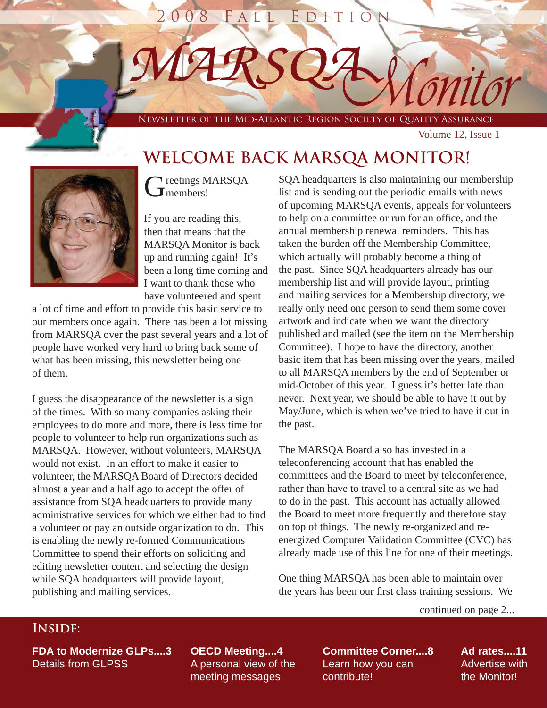## *M A R S Q A* **NEWSLETTER OF THE MID-ATLANTIC REGION SOCIETY OF QUALITY ASSURANCE**

008 FALL EDITIO

Volume 12, Issue 1

## **WELCOME BACK MARSQA MONITOR!**



٦

Greetings MARSQA

If you are reading this, then that means that the MARSQA Monitor is back up and running again! It's been a long time coming and I want to thank those who have volunteered and spent

a lot of time and effort to provide this basic service to our members once again. There has been a lot missing from MARSQA over the past several years and a lot of people have worked very hard to bring back some of what has been missing, this newsletter being one of them.

I guess the disappearance of the newsletter is a sign of the times. With so many companies asking their employees to do more and more, there is less time for people to volunteer to help run organizations such as MARSQA. However, without volunteers, MARSQA would not exist. In an effort to make it easier to volunteer, the MARSQA Board of Directors decided almost a year and a half ago to accept the offer of assistance from SQA headquarters to provide many administrative services for which we either had to find a volunteer or pay an outside organization to do. This is enabling the newly re-formed Communications Committee to spend their efforts on soliciting and editing newsletter content and selecting the design while SQA headquarters will provide layout, publishing and mailing services.

SQA headquarters is also maintaining our membership list and is sending out the periodic emails with news of upcoming MARSQA events, appeals for volunteers to help on a committee or run for an office, and the annual membership renewal reminders. This has taken the burden off the Membership Committee, which actually will probably become a thing of the past. Since SQA headquarters already has our membership list and will provide layout, printing and mailing services for a Membership directory, we really only need one person to send them some cover artwork and indicate when we want the directory published and mailed (see the item on the Membership Committee). I hope to have the directory, another basic item that has been missing over the years, mailed to all MARSQA members by the end of September or mid-October of this year. I guess it's better late than never. Next year, we should be able to have it out by May/June, which is when we've tried to have it out in the past.

The MARSQA Board also has invested in a teleconferencing account that has enabled the committees and the Board to meet by teleconference, rather than have to travel to a central site as we had to do in the past. This account has actually allowed the Board to meet more frequently and therefore stay on top of things. The newly re-organized and reenergized Computer Validation Committee (CVC) has already made use of this line for one of their meetings.

One thing MARSQA has been able to maintain over the years has been our first class training sessions. We

continued on page 2...

#### **Inside:**

**FDA to Modernize GLPs....3** Details from GLPSS

**OECD Meeting....4** A personal view of the meeting messages

**Committee Corner....8** Learn how you can contribute!

**Ad rates....11** Advertise with the Monitor!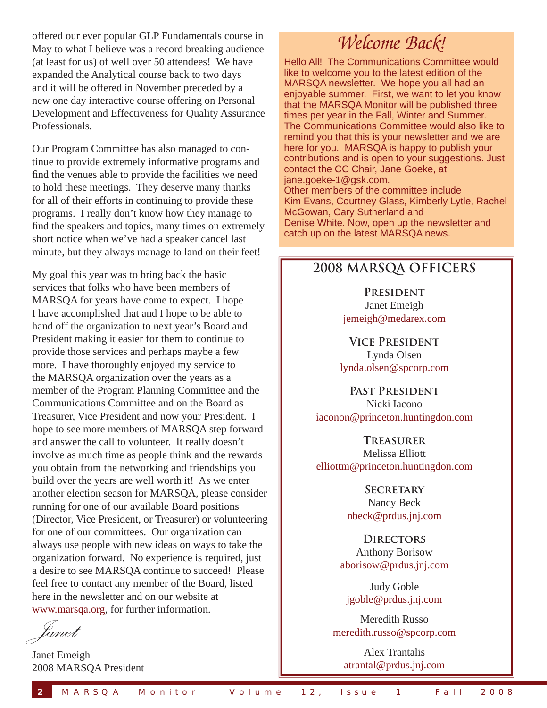offered our ever popular GLP Fundamentals course in May to what I believe was a record breaking audience (at least for us) of well over 50 attendees! We have expanded the Analytical course back to two days and it will be offered in November preceded by a new one day interactive course offering on Personal Development and Effectiveness for Quality Assurance Professionals.

Our Program Committee has also managed to continue to provide extremely informative programs and find the venues able to provide the facilities we need to hold these meetings. They deserve many thanks for all of their efforts in continuing to provide these programs. I really don't know how they manage to find the speakers and topics, many times on extremely short notice when we've had a speaker cancel last minute, but they always manage to land on their feet!

My goal this year was to bring back the basic services that folks who have been members of MARSQA for years have come to expect. I hope I have accomplished that and I hope to be able to hand off the organization to next year's Board and President making it easier for them to continue to provide those services and perhaps maybe a few more. I have thoroughly enjoyed my service to the MARSQA organization over the years as a member of the Program Planning Committee and the Communications Committee and on the Board as Treasurer, Vice President and now your President. I hope to see more members of MARSQA step forward and answer the call to volunteer. It really doesn't involve as much time as people think and the rewards you obtain from the networking and friendships you build over the years are well worth it! As we enter another election season for MARSQA, please consider running for one of our available Board positions (Director, Vice President, or Treasurer) or volunteering for one of our committees. Our organization can always use people with new ideas on ways to take the organization forward. No experience is required, just a desire to see MARSQA continue to succeed! Please feel free to contact any member of the Board, listed here in the newsletter and on our website at www.marsqa.org, for further information.

*Janet*

Janet Emeigh 2008 MARSQA President

## *Welcome Back!*

Hello All! The Communications Committee would like to welcome you to the latest edition of the MARSQA newsletter. We hope you all had an enjoyable summer. First, we want to let you know that the MARSQA Monitor will be published three times per year in the Fall, Winter and Summer. The Communications Committee would also like to remind you that this is your newsletter and we are here for you. MARSQA is happy to publish your contributions and is open to your suggestions. Just contact the CC Chair, Jane Goeke, at jane.goeke-1@gsk.com. Other members of the committee include

Kim Evans, Courtney Glass, Kimberly Lytle, Rachel McGowan, Cary Sutherland and Denise White. Now, open up the newsletter and catch up on the latest MARSQA news.

#### **2008 MARSQA OFFICERS**

**President**  Janet Emeigh jemeigh@medarex.com

**Vice President** Lynda Olsen lynda.olsen@spcorp.com

**Past President** Nicki Iacono iaconon@princeton.huntingdon.com

**Treasurer** Melissa Elliott elliottm@princeton.huntingdon.com

> **Secretary** Nancy Beck nbeck@prdus.jnj.com

**Directors** Anthony Borisow aborisow@prdus.jnj.com

Judy Goble jgoble@prdus.jnj.com

Meredith Russo meredith.russo@spcorp.com

Alex Trantalis atrantal@prdus.jnj.com

ī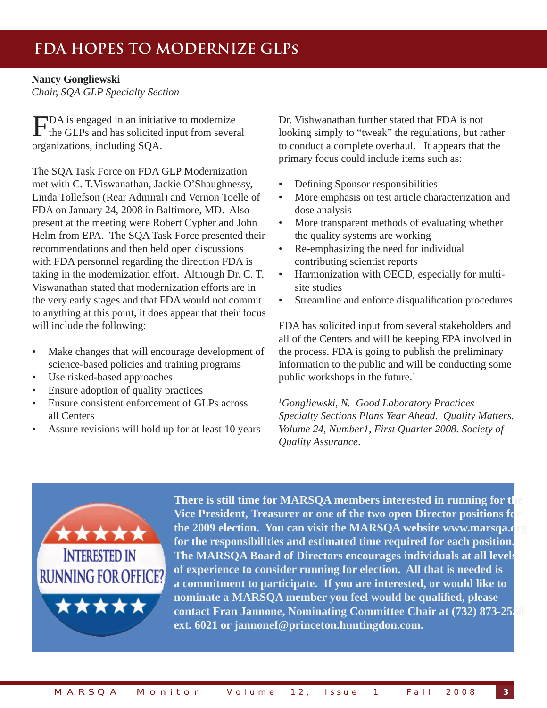### **FDA HOPES TO MODERNIZE GLPs**

#### **Nancy Gongliewski**

*Chair, SQA GLP Specialty Section*

FDA is engaged in an initiative to modernize the GLPs and has solicited input from several organizations, including SQA.

The SQA Task Force on FDA GLP Modernization met with C. T.Viswanathan, Jackie O'Shaughnessy, Linda Tollefson (Rear Admiral) and Vernon Toelle of FDA on January 24, 2008 in Baltimore, MD. Also present at the meeting were Robert Cypher and John Helm from EPA. The SQA Task Force presented their recommendations and then held open discussions with FDA personnel regarding the direction FDA is taking in the modernization effort. Although Dr. C. T. Viswanathan stated that modernization efforts are in the very early stages and that FDA would not commit to anything at this point, it does appear that their focus will include the following:

- Make changes that will encourage development of science-based policies and training programs
- Use risked-based approaches
- Ensure adoption of quality practices
- Ensure consistent enforcement of GLPs across all Centers
- Assure revisions will hold up for at least 10 years

Dr. Vishwanathan further stated that FDA is not looking simply to "tweak" the regulations, but rather to conduct a complete overhaul. It appears that the primary focus could include items such as:

- Defining Sponsor responsibilities
- More emphasis on test article characterization and dose analysis
- More transparent methods of evaluating whether the quality systems are working
- Re-emphasizing the need for individual contributing scientist reports
- Harmonization with OECD, especially for multisite studies
- Streamline and enforce disqualification procedures

FDA has solicited input from several stakeholders and all of the Centers and will be keeping EPA involved in the process. FDA is going to publish the preliminary information to the public and will be conducting some public workshops in the future.<sup>1</sup>

*1 Gongliewski, N. Good Laboratory Practices Specialty Sections Plans Year Ahead. Quality Matters. Volume 24, Number1, First Quarter 2008. Society of Quality Assurance*.



**There is still time for MARSQA members interested in running for the Vice President, Treasurer or one of the two open Director positions for the 2009 election. You can visit the MARSQA website www.marsqa.org for the responsibilities and estimated time required for each position. The MARSQA Board of Directors encourages individuals at all levels of experience to consider running for election. All that is needed is a commitment to participate. If you are interested, or would like to nominate a MARSQA member you feel would be qualifi ed, please contact Fran Jannone, Nominating Committee Chair at (732) 873-2550 ext. 6021 or jannonef@princeton.huntingdon.com.**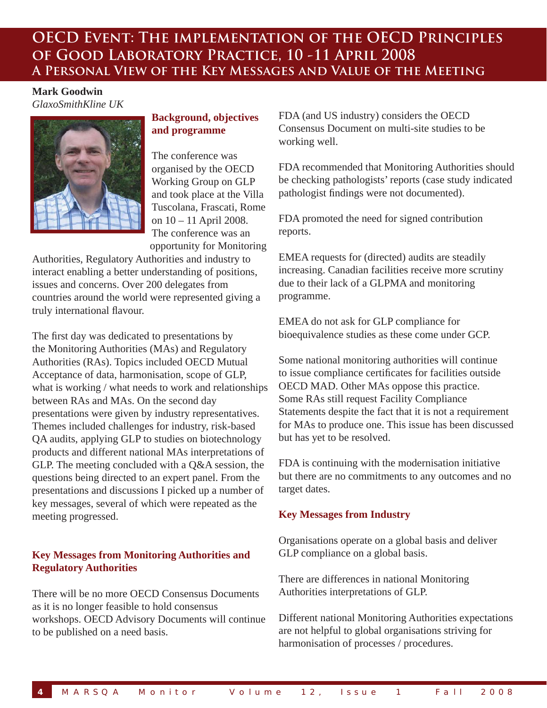#### **OECD Event: The implementation of the OECD Principles of Good Laboratory Practice, 10 -11 April 2008 A Personal View of the Key Messages and Value of the Meeting**

#### **Mark Goodwin** *GlaxoSmithKline UK*



#### **Background, objectives and programme**

The conference was organised by the OECD Working Group on GLP and took place at the Villa Tuscolana, Frascati, Rome on 10 – 11 April 2008. The conference was an opportunity for Monitoring

Authorities, Regulatory Authorities and industry to interact enabling a better understanding of positions, issues and concerns. Over 200 delegates from countries around the world were represented giving a truly international flavour.

The first day was dedicated to presentations by the Monitoring Authorities (MAs) and Regulatory Authorities (RAs). Topics included OECD Mutual Acceptance of data, harmonisation, scope of GLP, what is working / what needs to work and relationships between RAs and MAs. On the second day presentations were given by industry representatives. Themes included challenges for industry, risk-based QA audits, applying GLP to studies on biotechnology products and different national MAs interpretations of GLP. The meeting concluded with a Q&A session, the questions being directed to an expert panel. From the presentations and discussions I picked up a number of key messages, several of which were repeated as the meeting progressed.

#### **Key Messages from Monitoring Authorities and Regulatory Authorities**

There will be no more OECD Consensus Documents as it is no longer feasible to hold consensus workshops. OECD Advisory Documents will continue to be published on a need basis.

FDA (and US industry) considers the OECD Consensus Document on multi-site studies to be working well.

FDA recommended that Monitoring Authorities should be checking pathologists' reports (case study indicated pathologist findings were not documented).

FDA promoted the need for signed contribution reports.

EMEA requests for (directed) audits are steadily increasing. Canadian facilities receive more scrutiny due to their lack of a GLPMA and monitoring programme.

EMEA do not ask for GLP compliance for bioequivalence studies as these come under GCP.

Some national monitoring authorities will continue to issue compliance certificates for facilities outside OECD MAD. Other MAs oppose this practice. Some RAs still request Facility Compliance Statements despite the fact that it is not a requirement for MAs to produce one. This issue has been discussed but has yet to be resolved.

FDA is continuing with the modernisation initiative but there are no commitments to any outcomes and no target dates.

#### **Key Messages from Industry**

Organisations operate on a global basis and deliver GLP compliance on a global basis.

There are differences in national Monitoring Authorities interpretations of GLP.

Different national Monitoring Authorities expectations are not helpful to global organisations striving for harmonisation of processes / procedures.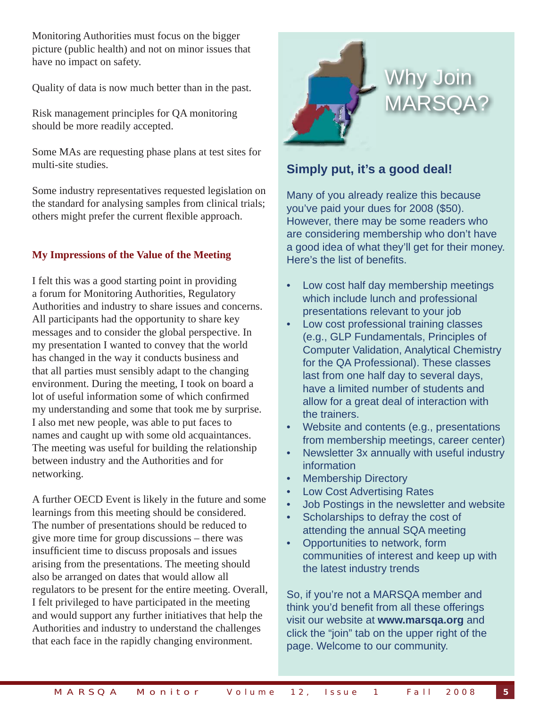Monitoring Authorities must focus on the bigger picture (public health) and not on minor issues that have no impact on safety.

Quality of data is now much better than in the past.

Risk management principles for QA monitoring should be more readily accepted.

Some MAs are requesting phase plans at test sites for multi-site studies.

Some industry representatives requested legislation on the standard for analysing samples from clinical trials; others might prefer the current flexible approach.

#### **My Impressions of the Value of the Meeting**

I felt this was a good starting point in providing a forum for Monitoring Authorities, Regulatory Authorities and industry to share issues and concerns. All participants had the opportunity to share key messages and to consider the global perspective. In my presentation I wanted to convey that the world has changed in the way it conducts business and that all parties must sensibly adapt to the changing environment. During the meeting, I took on board a lot of useful information some of which confirmed my understanding and some that took me by surprise. I also met new people, was able to put faces to names and caught up with some old acquaintances. The meeting was useful for building the relationship between industry and the Authorities and for networking.

A further OECD Event is likely in the future and some learnings from this meeting should be considered. The number of presentations should be reduced to give more time for group discussions – there was insufficient time to discuss proposals and issues arising from the presentations. The meeting should also be arranged on dates that would allow all regulators to be present for the entire meeting. Overall, I felt privileged to have participated in the meeting and would support any further initiatives that help the Authorities and industry to understand the challenges that each face in the rapidly changing environment.



#### **Simply put, it's a good deal!**

Many of you already realize this because you've paid your dues for 2008 (\$50). However, there may be some readers who are considering membership who don't have a good idea of what they'll get for their money. Here's the list of benefits.

- Low cost half day membership meetings which include lunch and professional presentations relevant to your job
- Low cost professional training classes (e.g., GLP Fundamentals, Principles of Computer Validation, Analytical Chemistry for the QA Professional). These classes last from one half day to several days, have a limited number of students and allow for a great deal of interaction with the trainers.
- Website and contents (e.g., presentations from membership meetings, career center)
- Newsletter 3x annually with useful industry information
- Membership Directory
- Low Cost Advertising Rates
- Job Postings in the newsletter and website
- Scholarships to defray the cost of attending the annual SQA meeting
- Opportunities to network, form communities of interest and keep up with the latest industry trends

So, if you're not a MARSQA member and think you'd benefit from all these offerings visit our website at **www.marsqa.org** and click the "join" tab on the upper right of the page. Welcome to our community.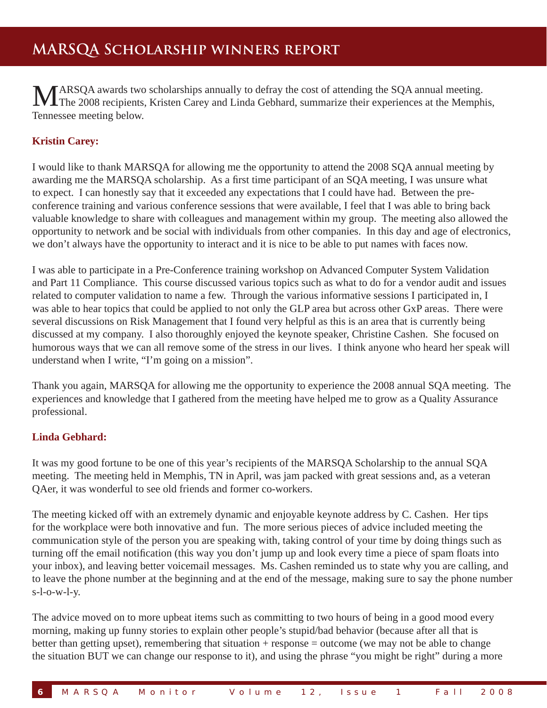MARSQA awards two scholarships annually to defray the cost of attending the SQA annual meeting.<br>The 2008 recipients, Kristen Carey and Linda Gebhard, summarize their experiences at the Memphis, Tennessee meeting below.

#### **Kristin Carey:**

I would like to thank MARSQA for allowing me the opportunity to attend the 2008 SQA annual meeting by awarding me the MARSQA scholarship. As a first time participant of an SQA meeting, I was unsure what to expect. I can honestly say that it exceeded any expectations that I could have had. Between the preconference training and various conference sessions that were available, I feel that I was able to bring back valuable knowledge to share with colleagues and management within my group. The meeting also allowed the opportunity to network and be social with individuals from other companies. In this day and age of electronics, we don't always have the opportunity to interact and it is nice to be able to put names with faces now.

I was able to participate in a Pre-Conference training workshop on Advanced Computer System Validation and Part 11 Compliance. This course discussed various topics such as what to do for a vendor audit and issues related to computer validation to name a few. Through the various informative sessions I participated in, I was able to hear topics that could be applied to not only the GLP area but across other GxP areas. There were several discussions on Risk Management that I found very helpful as this is an area that is currently being discussed at my company. I also thoroughly enjoyed the keynote speaker, Christine Cashen. She focused on humorous ways that we can all remove some of the stress in our lives. I think anyone who heard her speak will understand when I write, "I'm going on a mission".

Thank you again, MARSQA for allowing me the opportunity to experience the 2008 annual SQA meeting. The experiences and knowledge that I gathered from the meeting have helped me to grow as a Quality Assurance professional.

#### **Linda Gebhard:**

It was my good fortune to be one of this year's recipients of the MARSQA Scholarship to the annual SQA meeting. The meeting held in Memphis, TN in April, was jam packed with great sessions and, as a veteran QAer, it was wonderful to see old friends and former co-workers.

The meeting kicked off with an extremely dynamic and enjoyable keynote address by C. Cashen. Her tips for the workplace were both innovative and fun. The more serious pieces of advice included meeting the communication style of the person you are speaking with, taking control of your time by doing things such as turning off the email notification (this way you don't jump up and look every time a piece of spam floats into your inbox), and leaving better voicemail messages. Ms. Cashen reminded us to state why you are calling, and to leave the phone number at the beginning and at the end of the message, making sure to say the phone number s-l-o-w-l-y.

The advice moved on to more upbeat items such as committing to two hours of being in a good mood every morning, making up funny stories to explain other people's stupid/bad behavior (because after all that is better than getting upset), remembering that situation + response = outcome (we may not be able to change the situation BUT we can change our response to it), and using the phrase "you might be right" during a more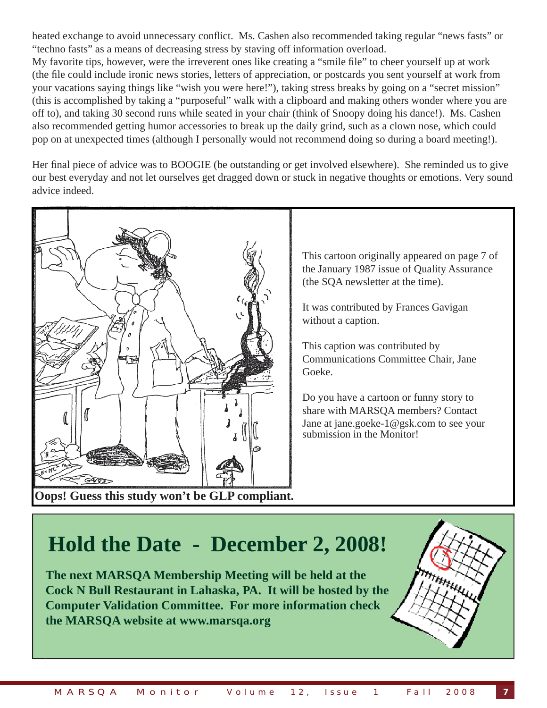heated exchange to avoid unnecessary conflict. Ms. Cashen also recommended taking regular "news fasts" or "techno fasts" as a means of decreasing stress by staving off information overload.

My favorite tips, however, were the irreverent ones like creating a "smile file" to cheer yourself up at work (the file could include ironic news stories, letters of appreciation, or postcards you sent yourself at work from your vacations saying things like "wish you were here!"), taking stress breaks by going on a "secret mission" (this is accomplished by taking a "purposeful" walk with a clipboard and making others wonder where you are off to), and taking 30 second runs while seated in your chair (think of Snoopy doing his dance!). Ms. Cashen also recommended getting humor accessories to break up the daily grind, such as a clown nose, which could pop on at unexpected times (although I personally would not recommend doing so during a board meeting!).

Her final piece of advice was to BOOGIE (be outstanding or get involved elsewhere). She reminded us to give our best everyday and not let ourselves get dragged down or stuck in negative thoughts or emotions. Very sound advice indeed.



**Hold the Date - December 2, 2008!**

**The next MARSQA Membership Meeting will be held at the Cock N Bull Restaurant in Lahaska, PA. It will be hosted by the Computer Validation Committee. For more information check the MARSQA website at www.marsqa.org**

H4L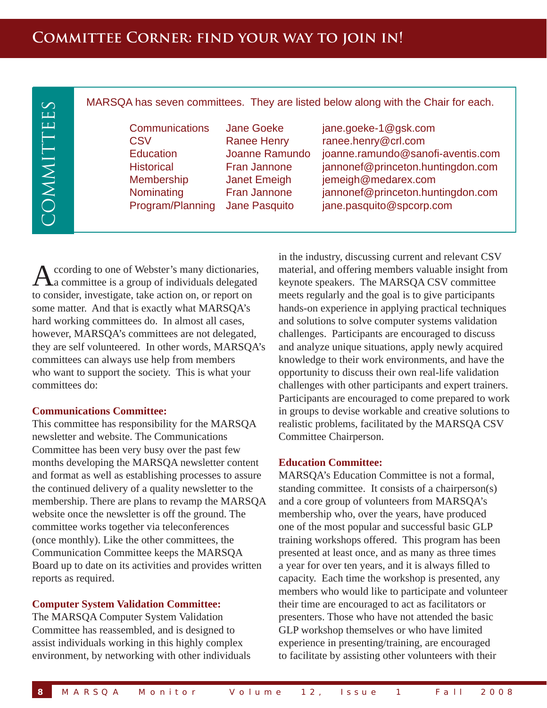MARSQA has seven committees. They are listed below along with the Chair for each.<br>
Communication Jane Goeke iane.goeke-1@gsk.com<br>
CSV Ranee Henry ace.henry@crl.com<br>
Education Joanne Ramundo iganne.ramundo@sanofi-aventis.co Communications Jane Goeke jane.goeke-1@gsk.com CSV Ranee Henry ranee.henry@crl.com Education Joanne Ramundo joanne.ramundo@sanofi -aventis.com Historical Fran Jannone iannonef@princeton.huntingdon.com Membership Janet Emeigh jemeigh@medarex.com Nominating Fran Jannone jannonef@princeton.huntingdon.com MARSQATIAS Seven Communices. They are listed below along with the Chair<br>Communication Sane Goeke iane.goeke-1@gsk.com<br>Education Joanne Ramundo iganne.ramundo@sanofi-av<br>Historical Fran Jannone jannonef@princeton.hunting<br>Mem

According to one of Webster's many dictionaries, a committee is a group of individuals delegated to consider, investigate, take action on, or report on some matter. And that is exactly what MARSQA's hard working committees do. In almost all cases, however, MARSQA's committees are not delegated, they are self volunteered. In other words, MARSQA's committees can always use help from members who want to support the society. This is what your committees do:

#### **Communications Committee:**

This committee has responsibility for the MARSQA newsletter and website. The Communications Committee has been very busy over the past few months developing the MARSQA newsletter content and format as well as establishing processes to assure the continued delivery of a quality newsletter to the membership. There are plans to revamp the MARSQA website once the newsletter is off the ground. The committee works together via teleconferences (once monthly). Like the other committees, the Communication Committee keeps the MARSQA Board up to date on its activities and provides written reports as required.

#### **Computer System Validation Committee:**

The MARSQA Computer System Validation Committee has reassembled, and is designed to assist individuals working in this highly complex environment, by networking with other individuals in the industry, discussing current and relevant CSV material, and offering members valuable insight from keynote speakers. The MARSQA CSV committee meets regularly and the goal is to give participants hands-on experience in applying practical techniques and solutions to solve computer systems validation challenges. Participants are encouraged to discuss and analyze unique situations, apply newly acquired knowledge to their work environments, and have the opportunity to discuss their own real-life validation challenges with other participants and expert trainers. Participants are encouraged to come prepared to work in groups to devise workable and creative solutions to realistic problems, facilitated by the MARSQA CSV Committee Chairperson.

#### **Education Committee:**

MARSQA's Education Committee is not a formal, standing committee. It consists of a chairperson(s) and a core group of volunteers from MARSQA's membership who, over the years, have produced one of the most popular and successful basic GLP training workshops offered. This program has been presented at least once, and as many as three times a year for over ten years, and it is always filled to capacity. Each time the workshop is presented, any members who would like to participate and volunteer their time are encouraged to act as facilitators or presenters. Those who have not attended the basic GLP workshop themselves or who have limited experience in presenting/training, are encouraged to facilitate by assisting other volunteers with their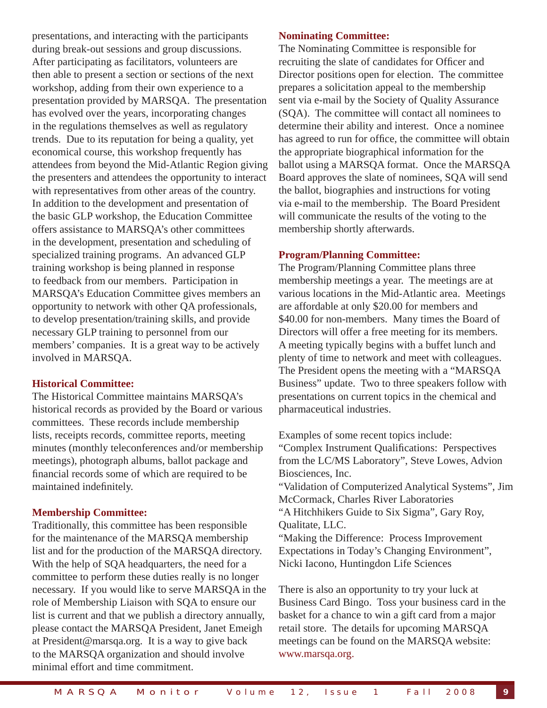presentations, and interacting with the participants during break-out sessions and group discussions. After participating as facilitators, volunteers are then able to present a section or sections of the next workshop, adding from their own experience to a presentation provided by MARSQA. The presentation has evolved over the years, incorporating changes in the regulations themselves as well as regulatory trends. Due to its reputation for being a quality, yet economical course, this workshop frequently has attendees from beyond the Mid-Atlantic Region giving the presenters and attendees the opportunity to interact with representatives from other areas of the country. In addition to the development and presentation of the basic GLP workshop, the Education Committee offers assistance to MARSQA's other committees in the development, presentation and scheduling of specialized training programs. An advanced GLP training workshop is being planned in response to feedback from our members. Participation in MARSQA's Education Committee gives members an opportunity to network with other QA professionals, to develop presentation/training skills, and provide necessary GLP training to personnel from our members' companies. It is a great way to be actively involved in MARSQA.

#### **Historical Committee:**

The Historical Committee maintains MARSQA's historical records as provided by the Board or various committees. These records include membership lists, receipts records, committee reports, meeting minutes (monthly teleconferences and/or membership meetings), photograph albums, ballot package and financial records some of which are required to be maintained indefinitely.

#### **Membership Committee:**

Traditionally, this committee has been responsible for the maintenance of the MARSQA membership list and for the production of the MARSQA directory. With the help of SQA headquarters, the need for a committee to perform these duties really is no longer necessary. If you would like to serve MARSQA in the role of Membership Liaison with SQA to ensure our list is current and that we publish a directory annually, please contact the MARSQA President, Janet Emeigh at President@marsqa.org. It is a way to give back to the MARSQA organization and should involve minimal effort and time commitment.

#### **Nominating Committee:**

The Nominating Committee is responsible for recruiting the slate of candidates for Officer and Director positions open for election. The committee prepares a solicitation appeal to the membership sent via e-mail by the Society of Quality Assurance (SQA). The committee will contact all nominees to determine their ability and interest. Once a nominee has agreed to run for office, the committee will obtain the appropriate biographical information for the ballot using a MARSQA format. Once the MARSQA Board approves the slate of nominees, SQA will send the ballot, biographies and instructions for voting via e-mail to the membership. The Board President will communicate the results of the voting to the membership shortly afterwards.

#### **Program/Planning Committee:**

The Program/Planning Committee plans three membership meetings a year. The meetings are at various locations in the Mid-Atlantic area. Meetings are affordable at only \$20.00 for members and \$40.00 for non-members. Many times the Board of Directors will offer a free meeting for its members. A meeting typically begins with a buffet lunch and plenty of time to network and meet with colleagues. The President opens the meeting with a "MARSQA Business" update. Two to three speakers follow with presentations on current topics in the chemical and pharmaceutical industries.

Examples of some recent topics include: "Complex Instrument Qualifications: Perspectives from the LC/MS Laboratory", Steve Lowes, Advion Biosciences, Inc.

"Validation of Computerized Analytical Systems", Jim McCormack, Charles River Laboratories "A Hitchhikers Guide to Six Sigma", Gary Roy, Qualitate, LLC.

"Making the Difference: Process Improvement Expectations in Today's Changing Environment", Nicki Iacono, Huntingdon Life Sciences

There is also an opportunity to try your luck at Business Card Bingo. Toss your business card in the basket for a chance to win a gift card from a major retail store. The details for upcoming MARSQA meetings can be found on the MARSQA website: www.marsqa.org.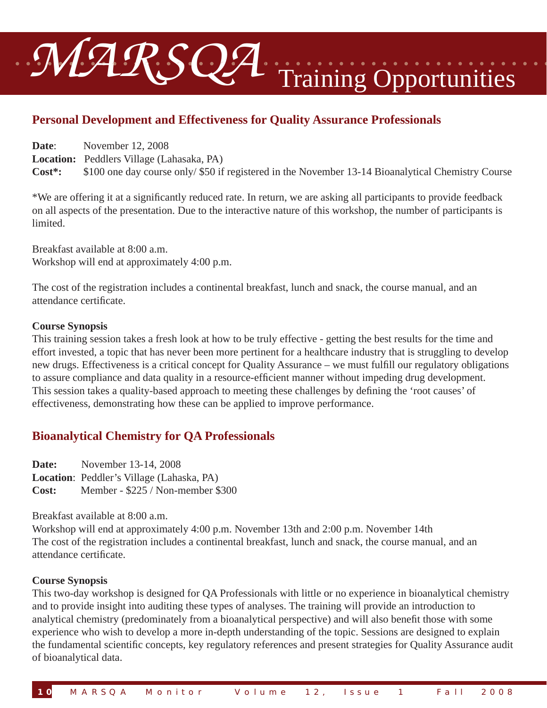# *M A R S Q A MARSQ* Training Opportunities

#### **Personal Development and Effectiveness for Quality Assurance Professionals**

**Date**: November 12, 2008

**Location:** Peddlers Village (Lahasaka, PA)

**Cost\*:** \$100 one day course only/ \$50 if registered in the November 13-14 Bioanalytical Chemistry Course

\*We are offering it at a significantly reduced rate. In return, we are asking all participants to provide feedback on all aspects of the presentation. Due to the interactive nature of this workshop, the number of participants is limited.

Breakfast available at 8:00 a.m. Workshop will end at approximately 4:00 p.m.

The cost of the registration includes a continental breakfast, lunch and snack, the course manual, and an attendance certificate.

#### **Course Synopsis**

This training session takes a fresh look at how to be truly effective - getting the best results for the time and effort invested, a topic that has never been more pertinent for a healthcare industry that is struggling to develop new drugs. Effectiveness is a critical concept for Quality Assurance – we must fulfill our regulatory obligations to assure compliance and data quality in a resource-efficient manner without impeding drug development. This session takes a quality-based approach to meeting these challenges by defining the 'root causes' of effectiveness, demonstrating how these can be applied to improve performance.

#### **Bioanalytical Chemistry for QA Professionals**

**Date:** November 13-14, 2008 **Location**: Peddler's Village (Lahaska, PA) **Cost:** Member - \$225 / Non-member \$300

Breakfast available at 8:00 a.m.

Workshop will end at approximately 4:00 p.m. November 13th and 2:00 p.m. November 14th The cost of the registration includes a continental breakfast, lunch and snack, the course manual, and an attendance certificate.

#### **Course Synopsis**

This two-day workshop is designed for QA Professionals with little or no experience in bioanalytical chemistry and to provide insight into auditing these types of analyses. The training will provide an introduction to analytical chemistry (predominately from a bioanalytical perspective) and will also benefit those with some experience who wish to develop a more in-depth understanding of the topic. Sessions are designed to explain the fundamental scientific concepts, key regulatory references and present strategies for Quality Assurance audit of bioanalytical data.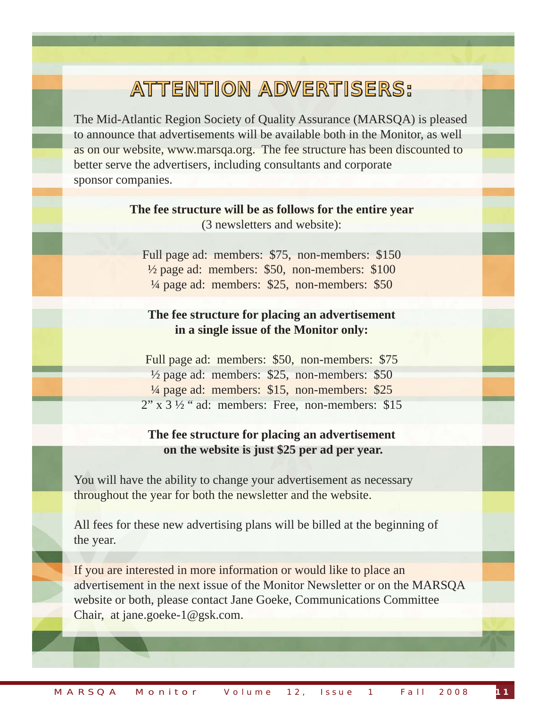## ATTENTION ADVERTISERS:

The Mid-Atlantic Region Society of Quality Assurance (MARSQA) is pleased to announce that advertisements will be available both in the Monitor, as well as on our website, www.marsqa.org. The fee structure has been discounted to better serve the advertisers, including consultants and corporate sponsor companies.

> **The fee structure will be as follows for the entire year**  (3 newsletters and website):

Full page ad: members: \$75, non-members: \$150  $\frac{1}{2}$  page ad: members: \$50, non-members: \$100  $\frac{1}{4}$  page ad: members: \$25, non-members: \$50

#### **The fee structure for placing an advertisement in a single issue of the Monitor only:**

Full page ad: members: \$50, non-members: \$75  $\frac{1}{2}$  page ad: members: \$25, non-members: \$50  $\frac{1}{4}$  page ad: members: \$15, non-members: \$25  $2$ " x  $3\frac{1}{2}$ " ad: members: Free, non-members: \$15

#### **The fee structure for placing an advertisement on the website is just \$25 per ad per year.**

You will have the ability to change your advertisement as necessary throughout the year for both the newsletter and the website.

All fees for these new advertising plans will be billed at the beginning of the year.

If you are interested in more information or would like to place an advertisement in the next issue of the Monitor Newsletter or on the MARSQA website or both, please contact Jane Goeke, Communications Committee Chair, at jane.goeke-1@gsk.com.